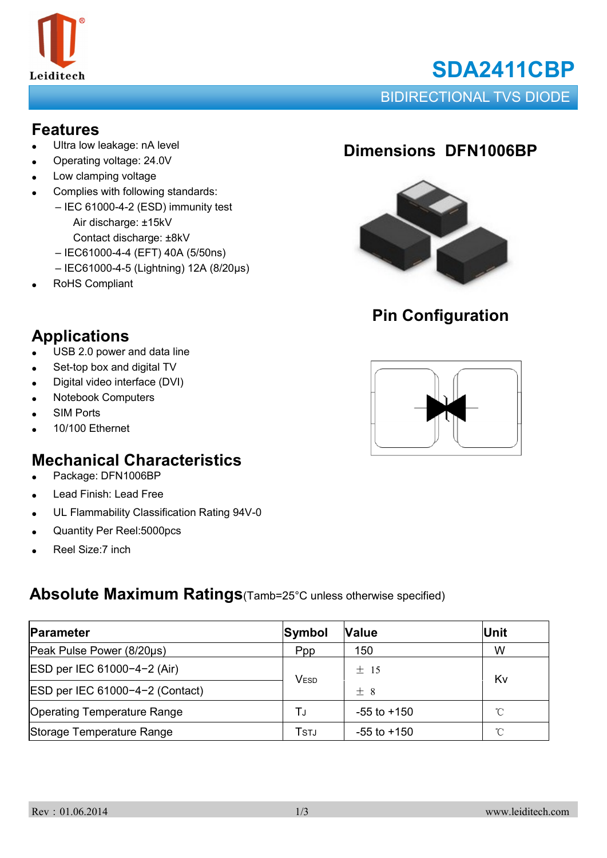

# **SDA2411CBP**

BIDIRECTIONAL TVS DIODE

#### **Features**

- Ultra low leakage: nA level
- Operating voltage: 24.0V
- Low clamping voltage
- Complies with following standards:
	- IEC 61000-4-2 (ESD) immunity test Air discharge: ±15kV Contact discharge: ±8kV
		- IEC61000-4-4 (EFT) 40A (5/50ns)
		- IEC61000-4-5 (Lightning) 12A (8/20μs)
- RoHS Compliant

## **Applications**

- USB 2.0 power and data line
- Set-top box and digital TV
- Digital video interface (DVI)
- **Notebook Computers**
- **SIM Ports**
- 10/100 Ethernet

### **Mechanical Characteristics**

- Package: DFN1006BP
- Lead Finish: Lead Free
- UL Flammability Classification Rating 94V-0
- Quantity Per Reel:5000pcs
- Reel Size:7 inch

#### **Absolute Maximum Ratings**(Tamb=25°C unless otherwise specified)

| Parameter                          | Symbol       | <b>Value</b>    | <b>Unit</b>  |  |
|------------------------------------|--------------|-----------------|--------------|--|
| Peak Pulse Power (8/20µs)          | <b>Ppp</b>   | 150             | W            |  |
| ESD per IEC 61000-4-2 (Air)        | <b>VESD</b>  | $±$ 15          | Kv           |  |
| ESD per IEC 61000-4-2 (Contact)    |              | $+8$            |              |  |
| <b>Operating Temperature Range</b> | TJ           | $-55$ to $+150$ | $^{\circ}$ C |  |
| Storage Temperature Range          | <b>T</b> STJ | $-55$ to $+150$ | °C           |  |

## **Dimensions DFN1006BP**



## **Pin Configuration**

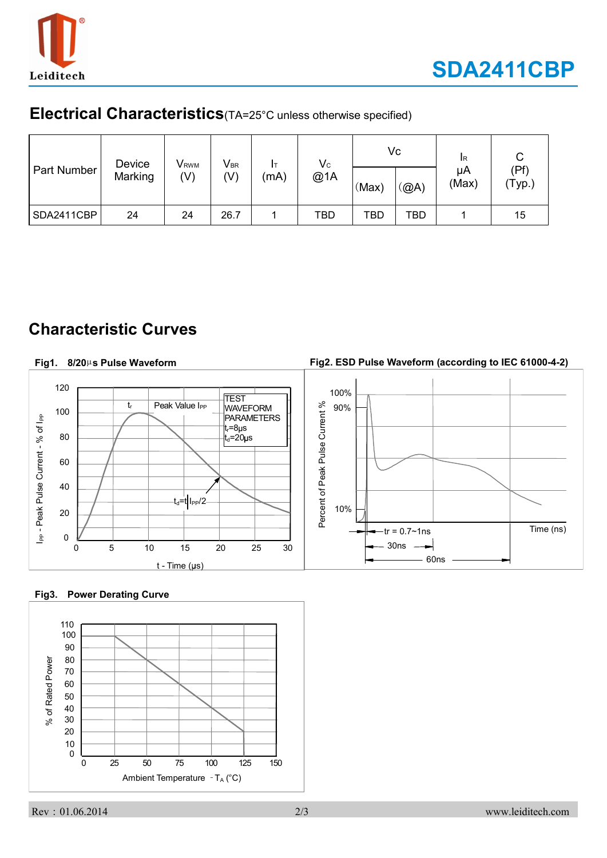

#### **Electrical Characteristics**(TA=25°C unless otherwise specified)

| Part Number | Device<br>Marking | <b>V</b> <sub>RWM</sub><br>$(\vee)$ | $V_{\text{BR}}$<br>(V) | Iт<br>(mA) | $\mathsf{V}\mathrm{c}$<br>@1A | (Max) | Vc<br>(@A) | IR<br>μA<br>(Max) | (Pf)<br>$'$ Typ.) |
|-------------|-------------------|-------------------------------------|------------------------|------------|-------------------------------|-------|------------|-------------------|-------------------|
| SDA2411CBP  | 24                | 24                                  | 26.7                   |            | <b>TBD</b>                    | TBD   | <b>TBD</b> |                   | 15                |

## **Characteristic Curves**

#### **Fig2. ESD Pulse Waveform (according to IEC 61000-4-2) Fig1. 8/20**µ**s Pulse Waveform** 120 100% **TEST** Percent of Peak Pulse Current % tr Peak Value I<sub>PP</sub> 90% WAVEFORM Percent of Peak Pulse Current % 100 I<sub>PP</sub> - Peak Pulse Current - % of I<sub>PP</sub> PARAMETERS I<sub>PP</sub> - Peak Pulse Current - % of I<sub>PP</sub> t<sub>r</sub>=8µs 80  $t_{d}$ =20 $\mu$ s 60 40  $-t_d=t$  I<sub>PP</sub>/2 10% 20  $-{\rm tr} = 0.7 \sim 1$ ns  $\vert$  Time (ns) 0 30ns 0 5 10 15 20 25 30 60ns  $t - Time (µs)$